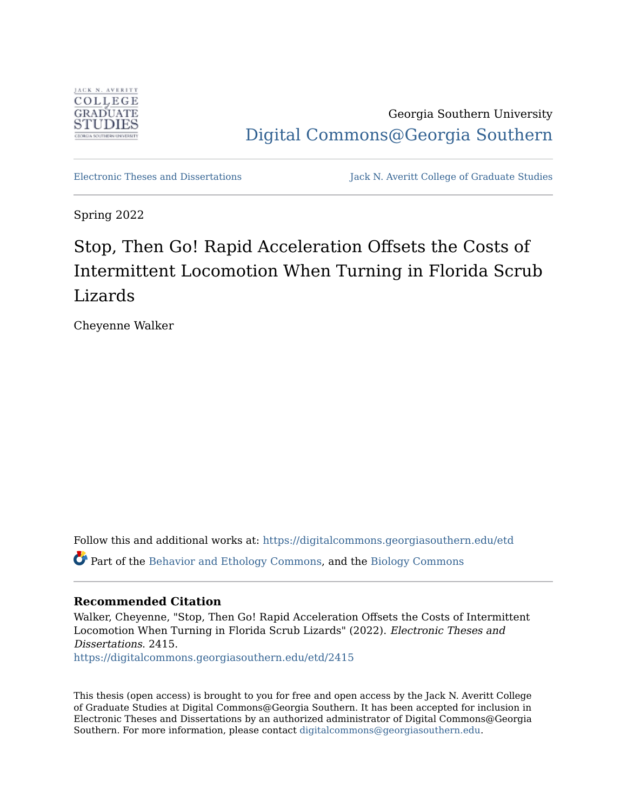

Georgia Southern University [Digital Commons@Georgia Southern](https://digitalcommons.georgiasouthern.edu/) 

[Electronic Theses and Dissertations](https://digitalcommons.georgiasouthern.edu/etd) Jack N. Averitt College of Graduate Studies

Spring 2022

# Stop, Then Go! Rapid Acceleration Offsets the Costs of Intermittent Locomotion When Turning in Florida Scrub Lizards

Cheyenne Walker

Follow this and additional works at: [https://digitalcommons.georgiasouthern.edu/etd](https://digitalcommons.georgiasouthern.edu/etd?utm_source=digitalcommons.georgiasouthern.edu%2Fetd%2F2415&utm_medium=PDF&utm_campaign=PDFCoverPages)  Part of the [Behavior and Ethology Commons](https://network.bepress.com/hgg/discipline/15?utm_source=digitalcommons.georgiasouthern.edu%2Fetd%2F2415&utm_medium=PDF&utm_campaign=PDFCoverPages), and the [Biology Commons](https://network.bepress.com/hgg/discipline/41?utm_source=digitalcommons.georgiasouthern.edu%2Fetd%2F2415&utm_medium=PDF&utm_campaign=PDFCoverPages)

## **Recommended Citation**

Walker, Cheyenne, "Stop, Then Go! Rapid Acceleration Offsets the Costs of Intermittent Locomotion When Turning in Florida Scrub Lizards" (2022). Electronic Theses and Dissertations. 2415. [https://digitalcommons.georgiasouthern.edu/etd/2415](https://digitalcommons.georgiasouthern.edu/etd/2415?utm_source=digitalcommons.georgiasouthern.edu%2Fetd%2F2415&utm_medium=PDF&utm_campaign=PDFCoverPages) 

This thesis (open access) is brought to you for free and open access by the Jack N. Averitt College of Graduate Studies at Digital Commons@Georgia Southern. It has been accepted for inclusion in Electronic Theses and Dissertations by an authorized administrator of Digital Commons@Georgia Southern. For more information, please contact [digitalcommons@georgiasouthern.edu](mailto:digitalcommons@georgiasouthern.edu).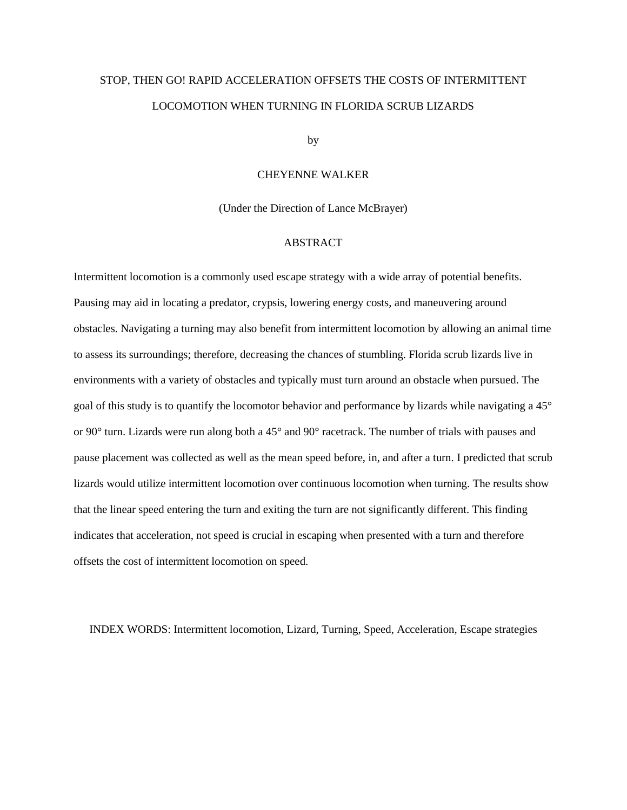# STOP, THEN GO! RAPID ACCELERATION OFFSETS THE COSTS OF INTERMITTENT LOCOMOTION WHEN TURNING IN FLORIDA SCRUB LIZARDS

by

#### CHEYENNE WALKER

(Under the Direction of Lance McBrayer)

## ABSTRACT

Intermittent locomotion is a commonly used escape strategy with a wide array of potential benefits. Pausing may aid in locating a predator, crypsis, lowering energy costs, and maneuvering around obstacles. Navigating a turning may also benefit from intermittent locomotion by allowing an animal time to assess its surroundings; therefore, decreasing the chances of stumbling. Florida scrub lizards live in environments with a variety of obstacles and typically must turn around an obstacle when pursued. The goal of this study is to quantify the locomotor behavior and performance by lizards while navigating a 45° or 90° turn. Lizards were run along both a 45° and 90° racetrack. The number of trials with pauses and pause placement was collected as well as the mean speed before, in, and after a turn. I predicted that scrub lizards would utilize intermittent locomotion over continuous locomotion when turning. The results show that the linear speed entering the turn and exiting the turn are not significantly different. This finding indicates that acceleration, not speed is crucial in escaping when presented with a turn and therefore offsets the cost of intermittent locomotion on speed.

INDEX WORDS: Intermittent locomotion, Lizard, Turning, Speed, Acceleration, Escape strategies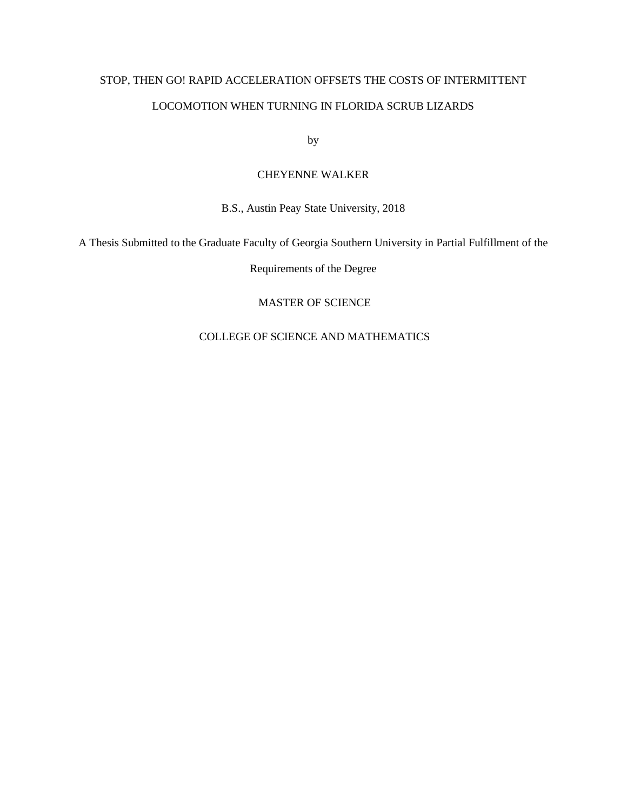# STOP, THEN GO! RAPID ACCELERATION OFFSETS THE COSTS OF INTERMITTENT LOCOMOTION WHEN TURNING IN FLORIDA SCRUB LIZARDS

by

### CHEYENNE WALKER

B.S., Austin Peay State University, 2018

A Thesis Submitted to the Graduate Faculty of Georgia Southern University in Partial Fulfillment of the

Requirements of the Degree

MASTER OF SCIENCE

## COLLEGE OF SCIENCE AND MATHEMATICS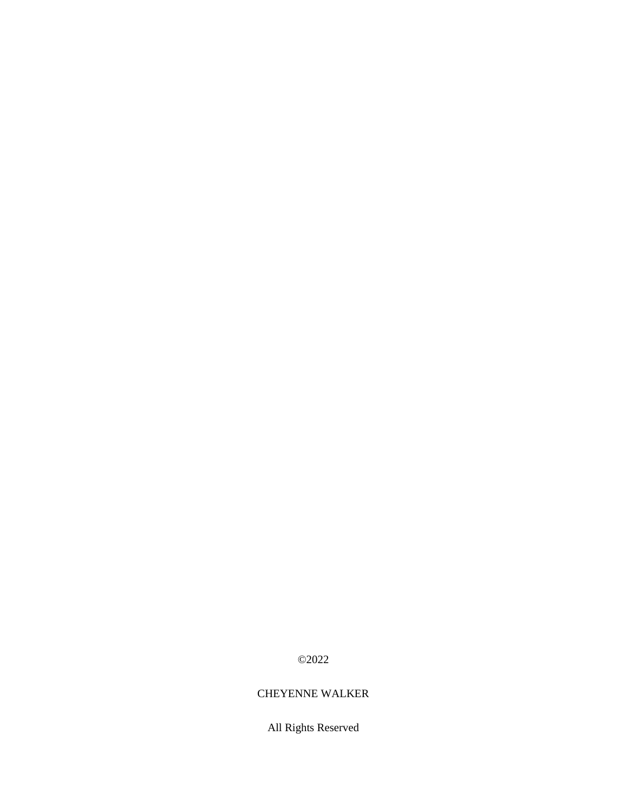## ©2022

## CHEYENNE WALKER

All Rights Reserved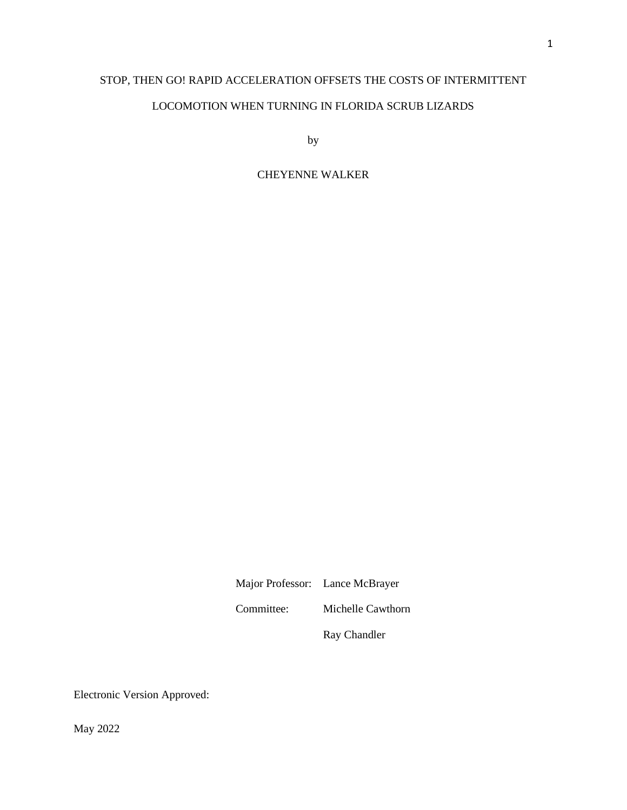# STOP, THEN GO! RAPID ACCELERATION OFFSETS THE COSTS OF INTERMITTENT

## LOCOMOTION WHEN TURNING IN FLORIDA SCRUB LIZARDS

by

### CHEYENNE WALKER

Major Professor: Lance McBrayer

Committee: Michelle Cawthorn

Ray Chandler

Electronic Version Approved:

May 2022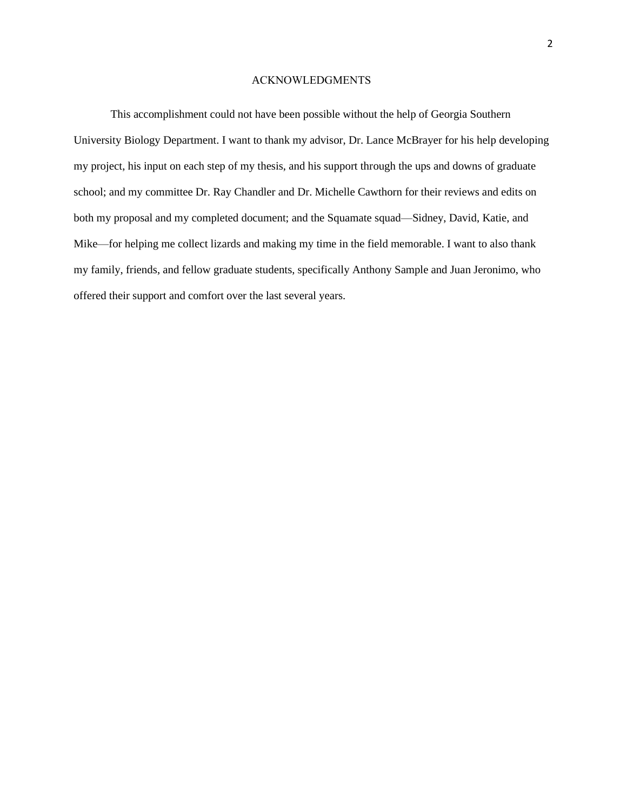#### ACKNOWLEDGMENTS

This accomplishment could not have been possible without the help of Georgia Southern University Biology Department. I want to thank my advisor, Dr. Lance McBrayer for his help developing my project, his input on each step of my thesis, and his support through the ups and downs of graduate school; and my committee Dr. Ray Chandler and Dr. Michelle Cawthorn for their reviews and edits on both my proposal and my completed document; and the Squamate squad—Sidney, David, Katie, and Mike—for helping me collect lizards and making my time in the field memorable. I want to also thank my family, friends, and fellow graduate students, specifically Anthony Sample and Juan Jeronimo, who offered their support and comfort over the last several years.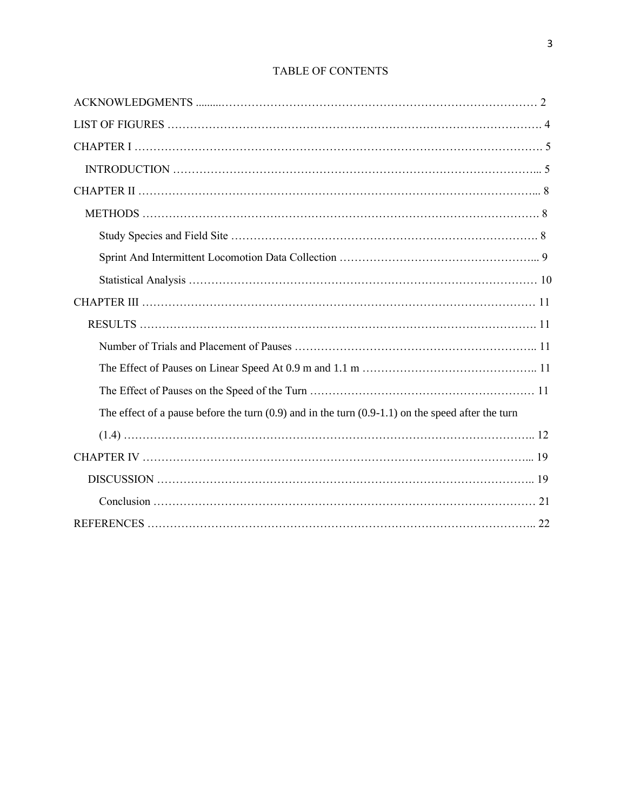| The effect of a pause before the turn $(0.9)$ and in the turn $(0.9-1.1)$ on the speed after the turn |
|-------------------------------------------------------------------------------------------------------|
|                                                                                                       |
|                                                                                                       |
|                                                                                                       |
|                                                                                                       |
|                                                                                                       |

## TABLE OF CONTENTS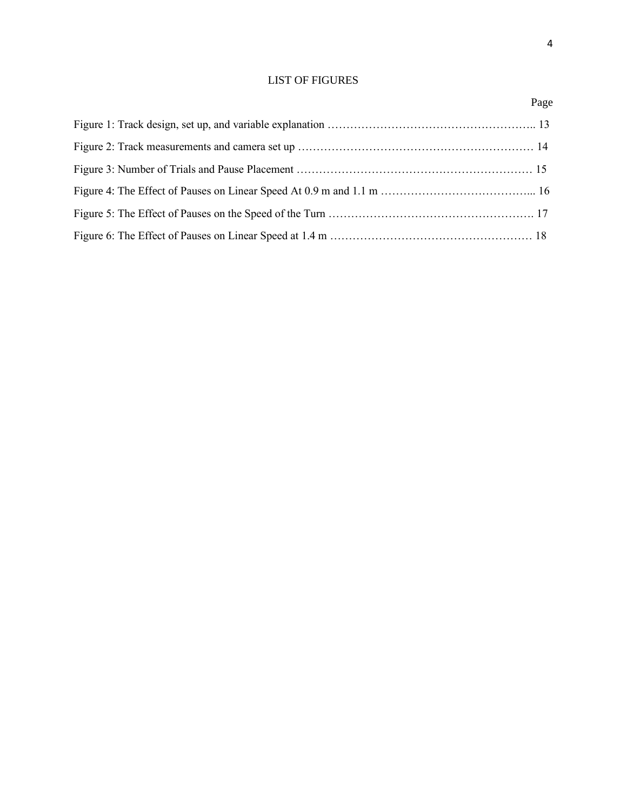## LIST OF FIGURES

## Page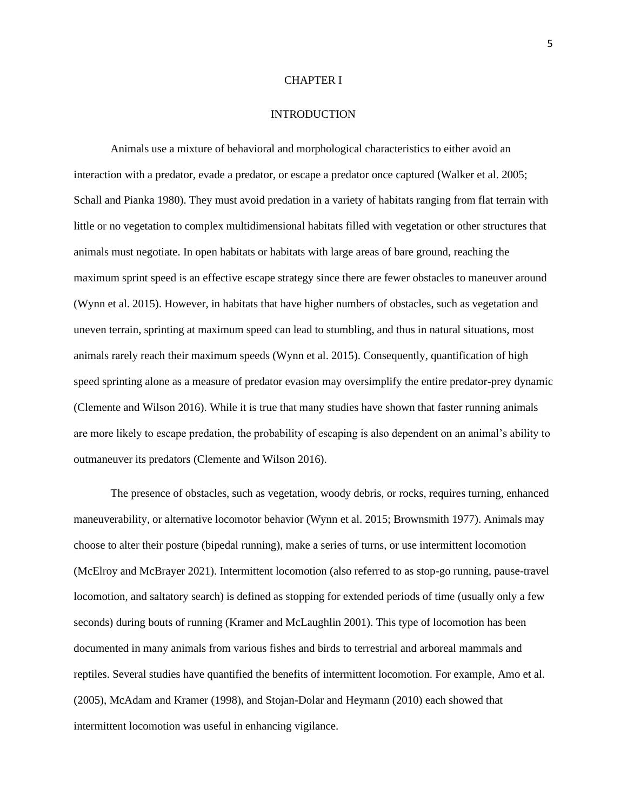#### CHAPTER I

#### INTRODUCTION

Animals use a mixture of behavioral and morphological characteristics to either avoid an interaction with a predator, evade a predator, or escape a predator once captured (Walker et al. 2005; Schall and Pianka 1980). They must avoid predation in a variety of habitats ranging from flat terrain with little or no vegetation to complex multidimensional habitats filled with vegetation or other structures that animals must negotiate. In open habitats or habitats with large areas of bare ground, reaching the maximum sprint speed is an effective escape strategy since there are fewer obstacles to maneuver around (Wynn et al. 2015). However, in habitats that have higher numbers of obstacles, such as vegetation and uneven terrain, sprinting at maximum speed can lead to stumbling, and thus in natural situations, most animals rarely reach their maximum speeds (Wynn et al. 2015). Consequently, quantification of high speed sprinting alone as a measure of predator evasion may oversimplify the entire predator-prey dynamic (Clemente and Wilson 2016). While it is true that many studies have shown that faster running animals are more likely to escape predation, the probability of escaping is also dependent on an animal's ability to outmaneuver its predators (Clemente and Wilson 2016).

The presence of obstacles, such as vegetation, woody debris, or rocks, requires turning, enhanced maneuverability, or alternative locomotor behavior (Wynn et al. 2015; Brownsmith 1977). Animals may choose to alter their posture (bipedal running), make a series of turns, or use intermittent locomotion (McElroy and McBrayer 2021). Intermittent locomotion (also referred to as stop-go running, pause-travel locomotion, and saltatory search) is defined as stopping for extended periods of time (usually only a few seconds) during bouts of running (Kramer and McLaughlin 2001). This type of locomotion has been documented in many animals from various fishes and birds to terrestrial and arboreal mammals and reptiles. Several studies have quantified the benefits of intermittent locomotion. For example, Amo et al. (2005), McAdam and Kramer (1998), and Stojan-Dolar and Heymann (2010) each showed that intermittent locomotion was useful in enhancing vigilance.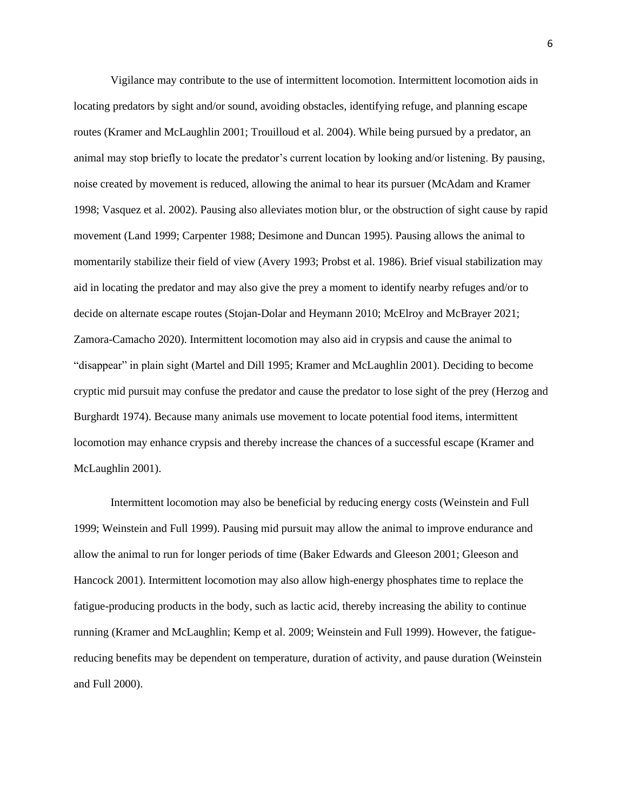Vigilance may contribute to the use of intermittent locomotion. Intermittent locomotion aids in locating predators by sight and/or sound, avoiding obstacles, identifying refuge, and planning escape routes (Kramer and McLaughlin 2001; Trouilloud et al. 2004). While being pursued by a predator, an animal may stop briefly to locate the predator's current location by looking and/or listening. By pausing, noise created by movement is reduced, allowing the animal to hear its pursuer (McAdam and Kramer 1998; Vasquez et al. 2002). Pausing also alleviates motion blur, or the obstruction of sight cause by rapid movement (Land 1999; Carpenter 1988; Desimone and Duncan 1995). Pausing allows the animal to momentarily stabilize their field of view (Avery 1993; Probst et al. 1986). Brief visual stabilization may aid in locating the predator and may also give the prey a moment to identify nearby refuges and/or to decide on alternate escape routes (Stojan-Dolar and Heymann 2010; McElroy and McBrayer 2021; Zamora-Camacho 2020). Intermittent locomotion may also aid in crypsis and cause the animal to "disappear" in plain sight (Martel and Dill 1995; Kramer and McLaughlin 2001). Deciding to become cryptic mid pursuit may confuse the predator and cause the predator to lose sight of the prey (Herzog and Burghardt 1974). Because many animals use movement to locate potential food items, intermittent locomotion may enhance crypsis and thereby increase the chances of a successful escape (Kramer and McLaughlin 2001).

Intermittent locomotion may also be beneficial by reducing energy costs (Weinstein and Full 1999; Weinstein and Full 1999). Pausing mid pursuit may allow the animal to improve endurance and allow the animal to run for longer periods of time (Baker Edwards and Gleeson 2001; Gleeson and Hancock 2001). Intermittent locomotion may also allow high-energy phosphates time to replace the fatigue-producing products in the body, such as lactic acid, thereby increasing the ability to continue running (Kramer and McLaughlin; Kemp et al. 2009; Weinstein and Full 1999). However, the fatiguereducing benefits may be dependent on temperature, duration of activity, and pause duration (Weinstein and Full 2000).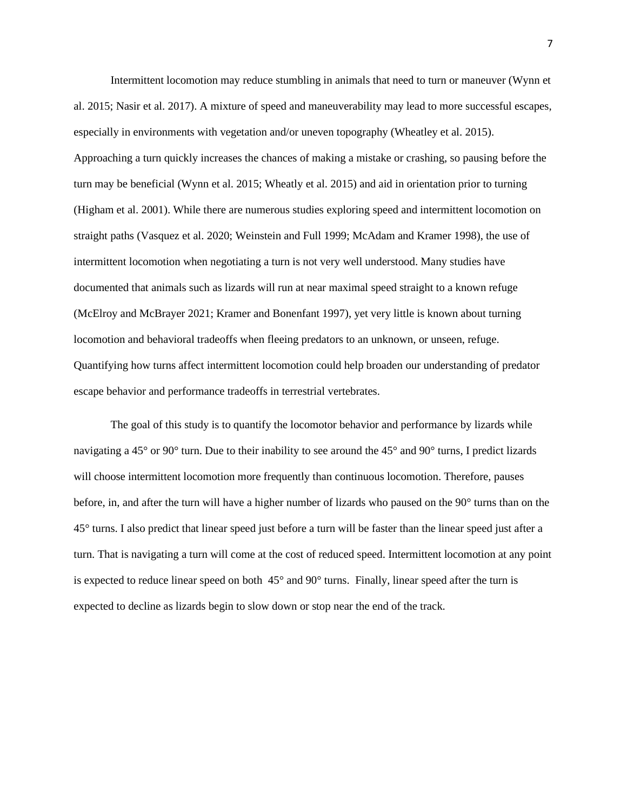Intermittent locomotion may reduce stumbling in animals that need to turn or maneuver (Wynn et al. 2015; Nasir et al. 2017). A mixture of speed and maneuverability may lead to more successful escapes, especially in environments with vegetation and/or uneven topography (Wheatley et al. 2015). Approaching a turn quickly increases the chances of making a mistake or crashing, so pausing before the turn may be beneficial (Wynn et al. 2015; Wheatly et al. 2015) and aid in orientation prior to turning (Higham et al. 2001). While there are numerous studies exploring speed and intermittent locomotion on straight paths (Vasquez et al. 2020; Weinstein and Full 1999; McAdam and Kramer 1998), the use of intermittent locomotion when negotiating a turn is not very well understood. Many studies have documented that animals such as lizards will run at near maximal speed straight to a known refuge (McElroy and McBrayer 2021; Kramer and Bonenfant 1997), yet very little is known about turning locomotion and behavioral tradeoffs when fleeing predators to an unknown, or unseen, refuge. Quantifying how turns affect intermittent locomotion could help broaden our understanding of predator escape behavior and performance tradeoffs in terrestrial vertebrates.

The goal of this study is to quantify the locomotor behavior and performance by lizards while navigating a 45° or 90° turn. Due to their inability to see around the 45° and 90° turns, I predict lizards will choose intermittent locomotion more frequently than continuous locomotion. Therefore, pauses before, in, and after the turn will have a higher number of lizards who paused on the 90° turns than on the 45° turns. I also predict that linear speed just before a turn will be faster than the linear speed just after a turn. That is navigating a turn will come at the cost of reduced speed. Intermittent locomotion at any point is expected to reduce linear speed on both 45° and 90° turns. Finally, linear speed after the turn is expected to decline as lizards begin to slow down or stop near the end of the track.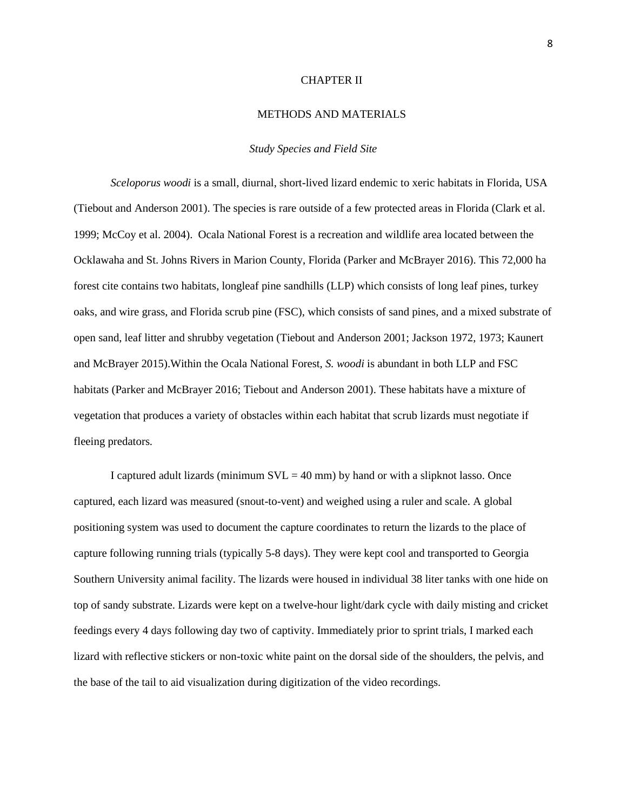#### CHAPTER II

#### METHODS AND MATERIALS

#### *Study Species and Field Site*

*Sceloporus woodi* is a small, diurnal, short-lived lizard endemic to xeric habitats in Florida, USA (Tiebout and Anderson 2001). The species is rare outside of a few protected areas in Florida (Clark et al. 1999; McCoy et al. 2004). Ocala National Forest is a recreation and wildlife area located between the Ocklawaha and St. Johns Rivers in Marion County, Florida (Parker and McBrayer 2016). This 72,000 ha forest cite contains two habitats, longleaf pine sandhills (LLP) which consists of long leaf pines, turkey oaks, and wire grass, and Florida scrub pine (FSC), which consists of sand pines, and a mixed substrate of open sand, leaf litter and shrubby vegetation (Tiebout and Anderson 2001; Jackson 1972, 1973; Kaunert and McBrayer 2015).Within the Ocala National Forest*, S. woodi* is abundant in both LLP and FSC habitats (Parker and McBrayer 2016; Tiebout and Anderson 2001). These habitats have a mixture of vegetation that produces a variety of obstacles within each habitat that scrub lizards must negotiate if fleeing predators.

I captured adult lizards (minimum  $SVL = 40$  mm) by hand or with a slipknot lasso. Once captured, each lizard was measured (snout-to-vent) and weighed using a ruler and scale. A global positioning system was used to document the capture coordinates to return the lizards to the place of capture following running trials (typically 5-8 days). They were kept cool and transported to Georgia Southern University animal facility. The lizards were housed in individual 38 liter tanks with one hide on top of sandy substrate. Lizards were kept on a twelve-hour light/dark cycle with daily misting and cricket feedings every 4 days following day two of captivity. Immediately prior to sprint trials, I marked each lizard with reflective stickers or non-toxic white paint on the dorsal side of the shoulders, the pelvis, and the base of the tail to aid visualization during digitization of the video recordings.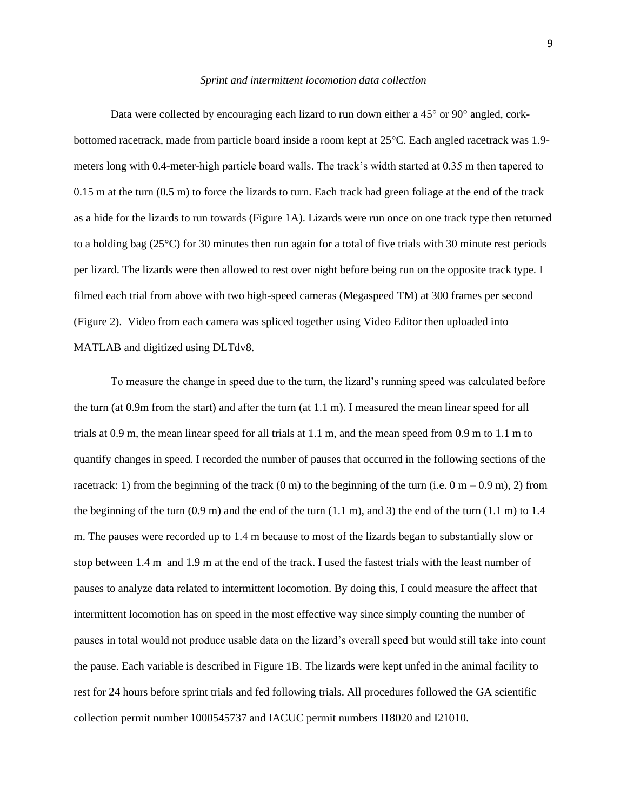#### *Sprint and intermittent locomotion data collection*

Data were collected by encouraging each lizard to run down either a 45° or 90° angled, corkbottomed racetrack, made from particle board inside a room kept at 25°C. Each angled racetrack was 1.9 meters long with 0.4-meter-high particle board walls. The track's width started at 0.35 m then tapered to 0.15 m at the turn (0.5 m) to force the lizards to turn. Each track had green foliage at the end of the track as a hide for the lizards to run towards (Figure 1A). Lizards were run once on one track type then returned to a holding bag (25°C) for 30 minutes then run again for a total of five trials with 30 minute rest periods per lizard. The lizards were then allowed to rest over night before being run on the opposite track type. I filmed each trial from above with two high-speed cameras (Megaspeed TM) at 300 frames per second (Figure 2). Video from each camera was spliced together using Video Editor then uploaded into MATLAB and digitized using DLTdv8.

To measure the change in speed due to the turn, the lizard's running speed was calculated before the turn (at 0.9m from the start) and after the turn (at 1.1 m). I measured the mean linear speed for all trials at 0.9 m, the mean linear speed for all trials at 1.1 m, and the mean speed from 0.9 m to 1.1 m to quantify changes in speed. I recorded the number of pauses that occurred in the following sections of the racetrack: 1) from the beginning of the track  $(0 \text{ m})$  to the beginning of the turn (i.e.  $0 \text{ m} - 0.9 \text{ m}$ ), 2) from the beginning of the turn  $(0.9 \text{ m})$  and the end of the turn  $(1.1 \text{ m})$ , and 3) the end of the turn  $(1.1 \text{ m})$  to 1.4 m. The pauses were recorded up to 1.4 m because to most of the lizards began to substantially slow or stop between 1.4 m and 1.9 m at the end of the track. I used the fastest trials with the least number of pauses to analyze data related to intermittent locomotion. By doing this, I could measure the affect that intermittent locomotion has on speed in the most effective way since simply counting the number of pauses in total would not produce usable data on the lizard's overall speed but would still take into count the pause. Each variable is described in Figure 1B. The lizards were kept unfed in the animal facility to rest for 24 hours before sprint trials and fed following trials. All procedures followed the GA scientific collection permit number 1000545737 and IACUC permit numbers I18020 and I21010.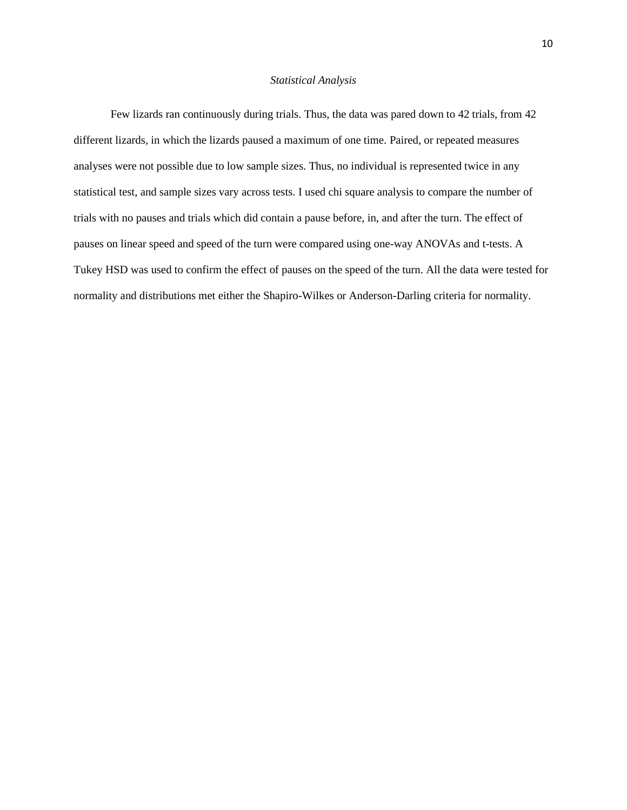#### *Statistical Analysis*

Few lizards ran continuously during trials. Thus, the data was pared down to 42 trials, from 42 different lizards, in which the lizards paused a maximum of one time. Paired, or repeated measures analyses were not possible due to low sample sizes. Thus, no individual is represented twice in any statistical test, and sample sizes vary across tests. I used chi square analysis to compare the number of trials with no pauses and trials which did contain a pause before, in, and after the turn. The effect of pauses on linear speed and speed of the turn were compared using one-way ANOVAs and t-tests. A Tukey HSD was used to confirm the effect of pauses on the speed of the turn. All the data were tested for normality and distributions met either the Shapiro-Wilkes or Anderson-Darling criteria for normality.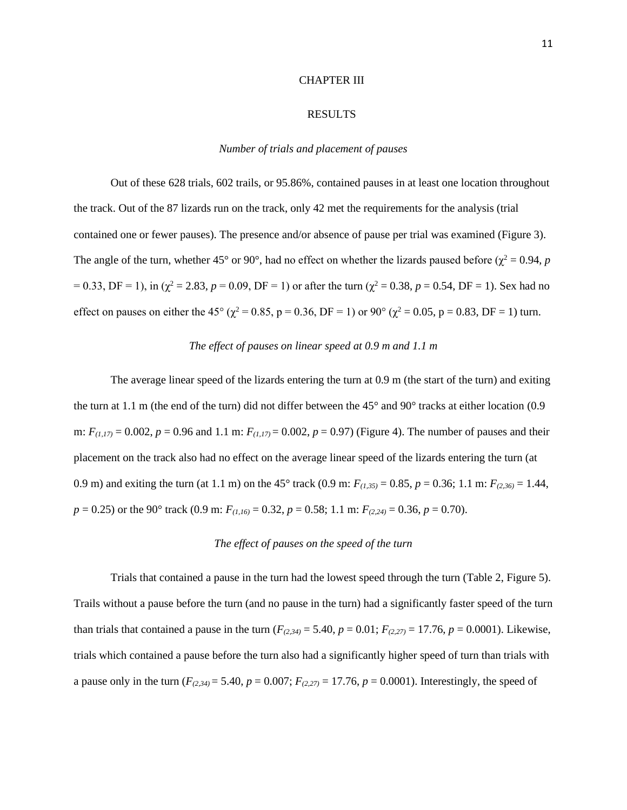#### CHAPTER III

#### RESULTS

#### *Number of trials and placement of pauses*

Out of these 628 trials, 602 trails, or 95.86%, contained pauses in at least one location throughout the track. Out of the 87 lizards run on the track, only 42 met the requirements for the analysis (trial contained one or fewer pauses). The presence and/or absence of pause per trial was examined (Figure 3). The angle of the turn, whether 45° or 90°, had no effect on whether the lizards paused before ( $\chi^2 = 0.94$ , *p*  $= 0.33$ , DF = 1), in ( $\chi^2 = 2.83$ ,  $p = 0.09$ , DF = 1) or after the turn ( $\chi^2 = 0.38$ ,  $p = 0.54$ , DF = 1). Sex had no effect on pauses on either the 45° ( $\chi^2 = 0.85$ , p = 0.36, DF = 1) or 90° ( $\chi^2 = 0.05$ , p = 0.83, DF = 1) turn.

#### *The effect of pauses on linear speed at 0.9 m and 1.1 m*

The average linear speed of the lizards entering the turn at 0.9 m (the start of the turn) and exiting the turn at 1.1 m (the end of the turn) did not differ between the 45° and 90° tracks at either location (0.9 m:  $F_{(1,17)} = 0.002$ ,  $p = 0.96$  and 1.1 m:  $F_{(1,17)} = 0.002$ ,  $p = 0.97$ ) (Figure 4). The number of pauses and their placement on the track also had no effect on the average linear speed of the lizards entering the turn (at 0.9 m) and exiting the turn (at 1.1 m) on the 45° track (0.9 m:  $F_{(1,35)} = 0.85$ ,  $p = 0.36$ ; 1.1 m:  $F_{(2,36)} = 1.44$ , *p* = 0.25) or the 90° track (0.9 m: *F(1,16)* = 0.32, *p* = 0.58; 1.1 m: *F(2,24)* = 0.36, *p* = 0.70).

#### *The effect of pauses on the speed of the turn*

Trials that contained a pause in the turn had the lowest speed through the turn (Table 2, Figure 5). Trails without a pause before the turn (and no pause in the turn) had a significantly faster speed of the turn than trials that contained a pause in the turn  $(F_{(2,34)} = 5.40, p = 0.01; F_{(2,27)} = 17.76, p = 0.0001)$ . Likewise, trials which contained a pause before the turn also had a significantly higher speed of turn than trials with a pause only in the turn  $(F_{(2,34)} = 5.40, p = 0.007; F_{(2,27)} = 17.76, p = 0.0001$ ). Interestingly, the speed of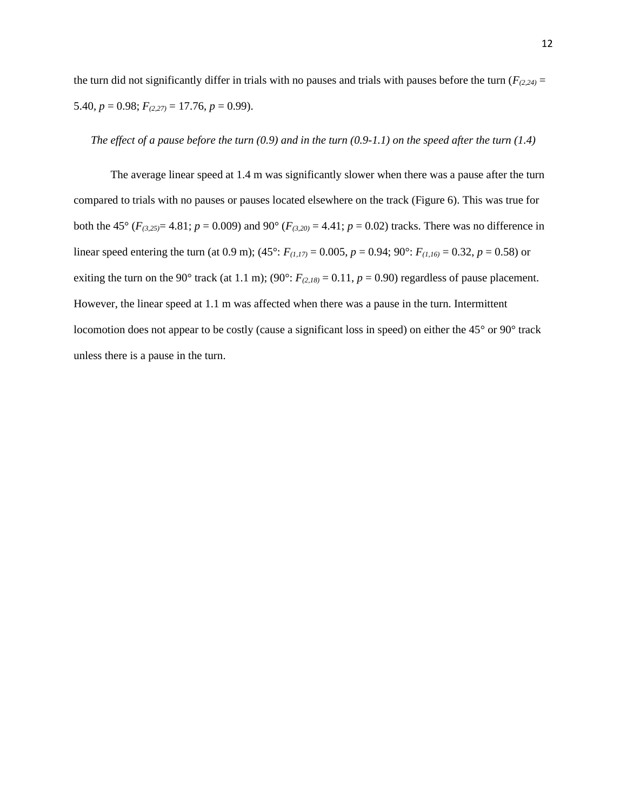the turn did not significantly differ in trials with no pauses and trials with pauses before the turn ( $F_{(2,24)}$  = 5.40,  $p = 0.98$ ;  $F_{(2,27)} = 17.76$ ,  $p = 0.99$ ).

#### *The effect of a pause before the turn (0.9) and in the turn (0.9-1.1) on the speed after the turn (1.4)*

The average linear speed at 1.4 m was significantly slower when there was a pause after the turn compared to trials with no pauses or pauses located elsewhere on the track (Figure 6). This was true for both the 45° ( $F_{(3,25)}$ = 4.81;  $p = 0.009$ ) and 90° ( $F_{(3,20)}$  = 4.41;  $p = 0.02$ ) tracks. There was no difference in linear speed entering the turn (at 0.9 m); (45°:  $F_{(1,17)} = 0.005$ ,  $p = 0.94$ ; 90°:  $F_{(1,16)} = 0.32$ ,  $p = 0.58$ ) or exiting the turn on the 90° track (at 1.1 m); (90°:  $F_{(2,18)} = 0.11$ ,  $p = 0.90$ ) regardless of pause placement. However, the linear speed at 1.1 m was affected when there was a pause in the turn. Intermittent locomotion does not appear to be costly (cause a significant loss in speed) on either the 45° or 90° track unless there is a pause in the turn.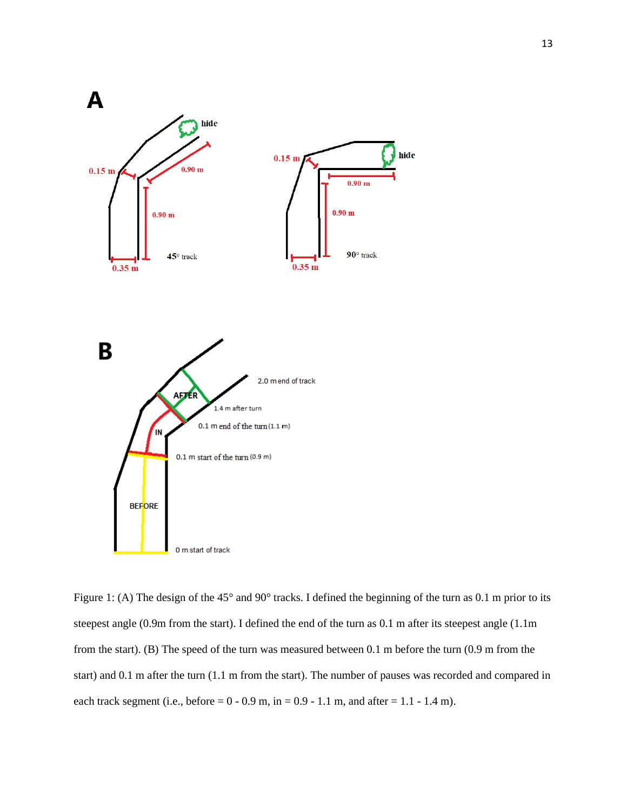

Figure 1: (A) The design of the 45° and 90° tracks. I defined the beginning of the turn as 0.1 m prior to its steepest angle (0.9m from the start). I defined the end of the turn as 0.1 m after its steepest angle (1.1m from the start). (B) The speed of the turn was measured between 0.1 m before the turn (0.9 m from the start) and 0.1 m after the turn (1.1 m from the start). The number of pauses was recorded and compared in each track segment (i.e., before =  $0 - 0.9$  m, in =  $0.9 - 1.1$  m, and after =  $1.1 - 1.4$  m).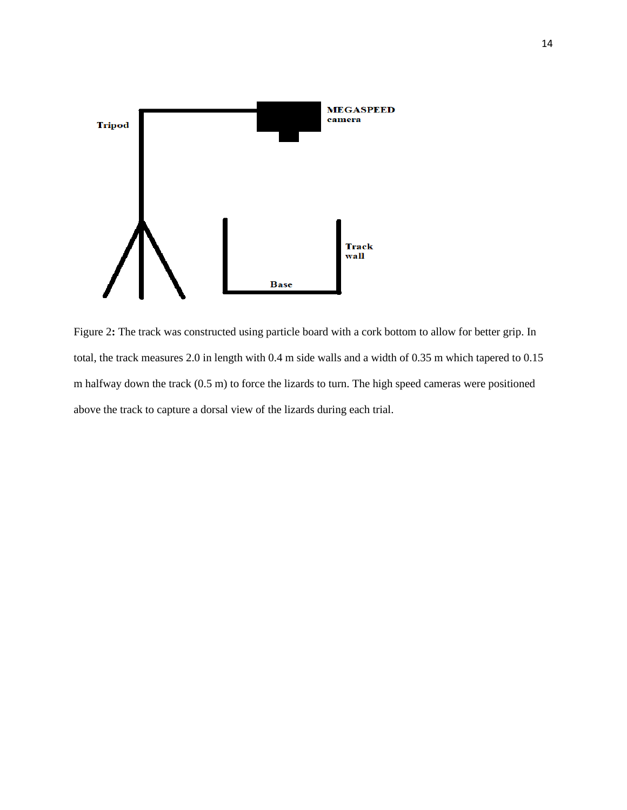

Figure 2: The track was constructed using particle board with a cork bottom to allow for better grip. In total, the track measures 2.0 in length with 0.4 m side walls and a width of 0.35 m which tapered to 0.15 m halfway down the track (0.5 m) to force the lizards to turn. The high speed cameras were positioned above the track to capture a dorsal view of the lizards during each trial.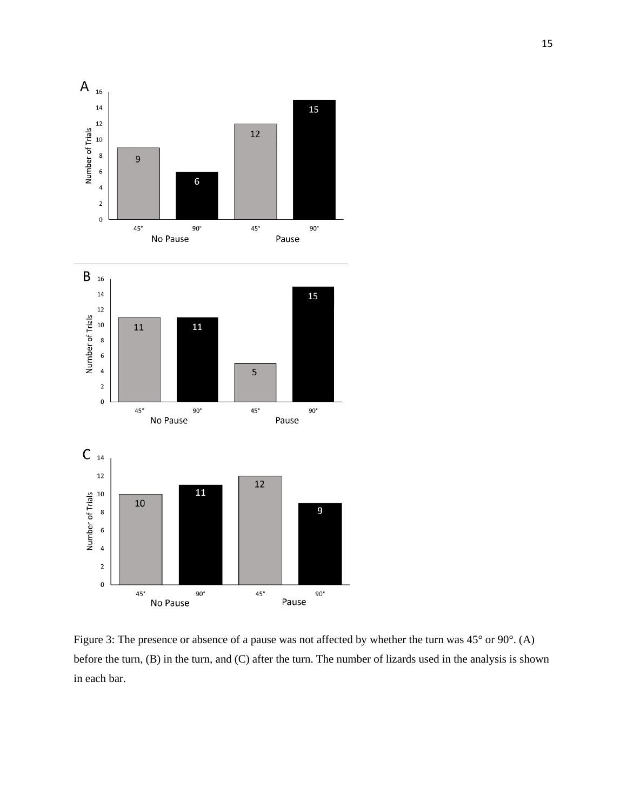

Figure 3: The presence or absence of a pause was not affected by whether the turn was 45° or 90°. (A) before the turn, (B) in the turn, and (C) after the turn. The number of lizards used in the analysis is shown in each bar.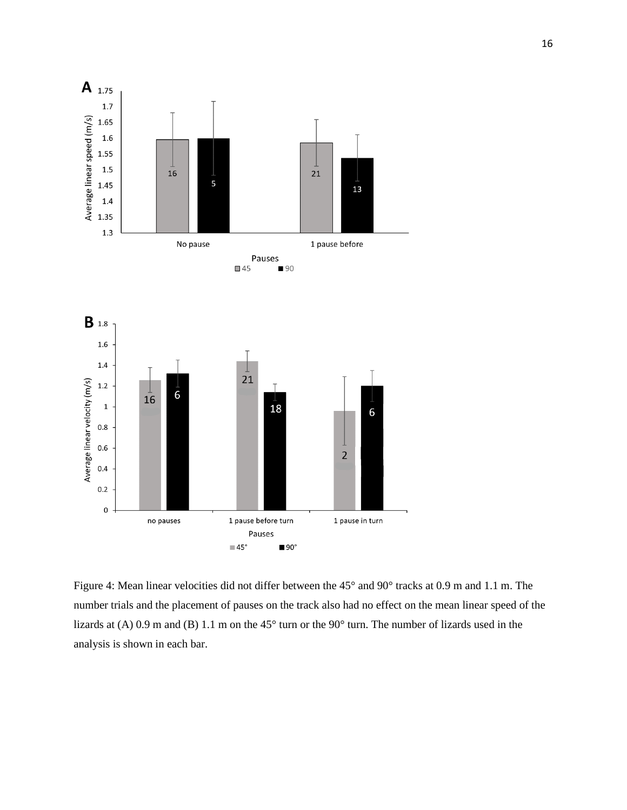

Figure 4: Mean linear velocities did not differ between the 45° and 90° tracks at 0.9 m and 1.1 m. The number trials and the placement of pauses on the track also had no effect on the mean linear speed of the lizards at (A) 0.9 m and (B) 1.1 m on the 45° turn or the 90° turn. The number of lizards used in the analysis is shown in each bar.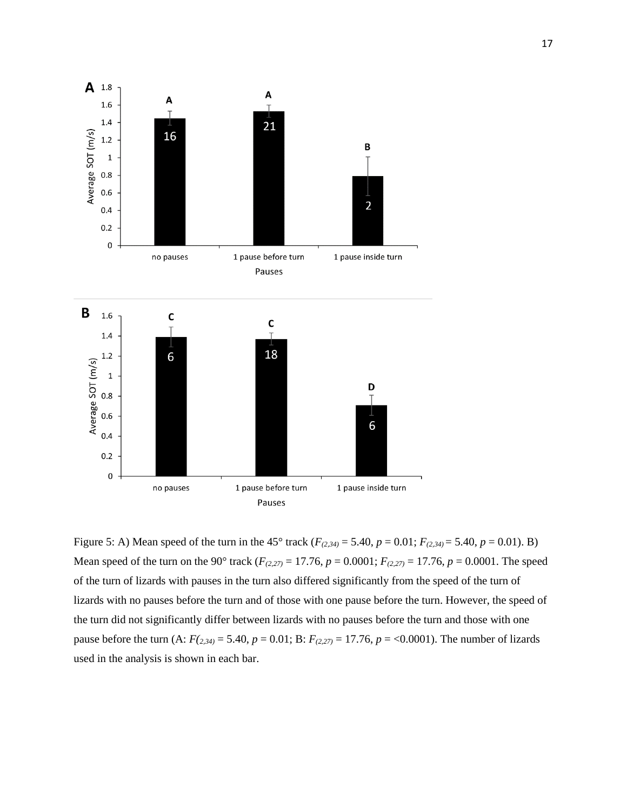

Figure 5: A) Mean speed of the turn in the 45° track (*F(2,34)* = 5.40, *p* = 0.01; *F(2,34)* = 5.40, *p* = 0.01). B) Mean speed of the turn on the 90° track (*F(2,27)* = 17.76, *p* = 0.0001; *F(2,27)* = 17.76, *p* = 0.0001. The speed of the turn of lizards with pauses in the turn also differed significantly from the speed of the turn of lizards with no pauses before the turn and of those with one pause before the turn. However, the speed of the turn did not significantly differ between lizards with no pauses before the turn and those with one pause before the turn (A:  $F(z_{,34)} = 5.40$ ,  $p = 0.01$ ; B:  $F(z_{,27)} = 17.76$ ,  $p = 0.0001$ ). The number of lizards used in the analysis is shown in each bar.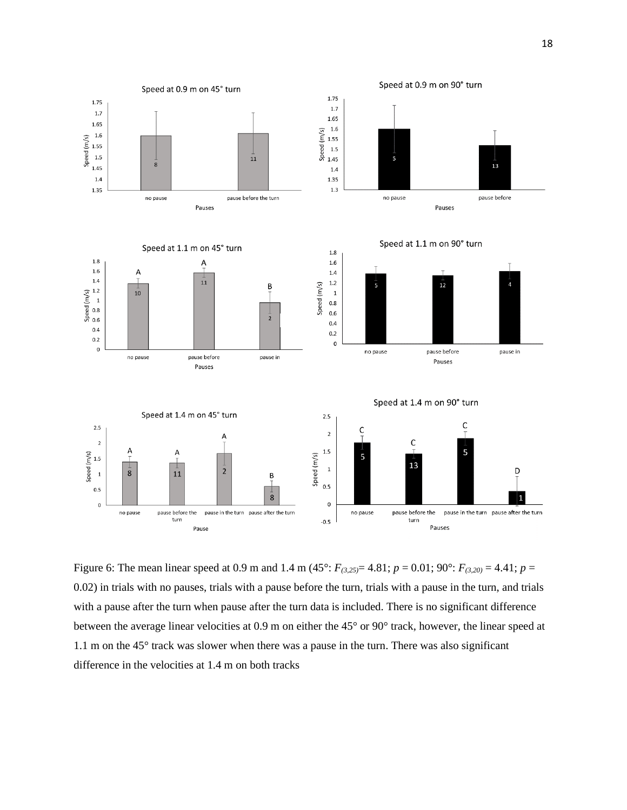

Figure 6: The mean linear speed at 0.9 m and 1.4 m (45°:  $F_{(3,25)} = 4.81$ ;  $p = 0.01$ ; 90°:  $F_{(3,20)} = 4.41$ ;  $p =$ 0.02) in trials with no pauses, trials with a pause before the turn, trials with a pause in the turn, and trials with a pause after the turn when pause after the turn data is included. There is no significant difference between the average linear velocities at 0.9 m on either the 45° or 90° track, however, the linear speed at 1.1 m on the 45° track was slower when there was a pause in the turn. There was also significant difference in the velocities at 1.4 m on both tracks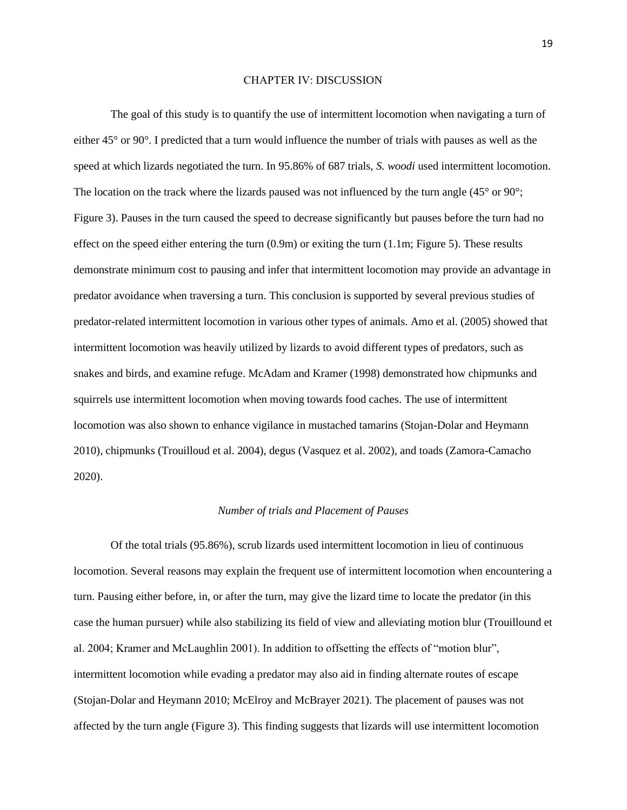#### CHAPTER IV: DISCUSSION

The goal of this study is to quantify the use of intermittent locomotion when navigating a turn of either 45° or 90°. I predicted that a turn would influence the number of trials with pauses as well as the speed at which lizards negotiated the turn. In 95.86% of 687 trials, *S. woodi* used intermittent locomotion. The location on the track where the lizards paused was not influenced by the turn angle  $(45^{\circ} \text{ or } 90^{\circ})$ ; Figure 3). Pauses in the turn caused the speed to decrease significantly but pauses before the turn had no effect on the speed either entering the turn  $(0.9m)$  or exiting the turn  $(1.1m;$  Figure 5). These results demonstrate minimum cost to pausing and infer that intermittent locomotion may provide an advantage in predator avoidance when traversing a turn. This conclusion is supported by several previous studies of predator-related intermittent locomotion in various other types of animals. Amo et al. (2005) showed that intermittent locomotion was heavily utilized by lizards to avoid different types of predators, such as snakes and birds, and examine refuge. McAdam and Kramer (1998) demonstrated how chipmunks and squirrels use intermittent locomotion when moving towards food caches. The use of intermittent locomotion was also shown to enhance vigilance in mustached tamarins (Stojan-Dolar and Heymann 2010), chipmunks (Trouilloud et al. 2004), degus (Vasquez et al. 2002), and toads (Zamora-Camacho 2020).

#### *Number of trials and Placement of Pauses*

Of the total trials (95.86%), scrub lizards used intermittent locomotion in lieu of continuous locomotion. Several reasons may explain the frequent use of intermittent locomotion when encountering a turn. Pausing either before, in, or after the turn, may give the lizard time to locate the predator (in this case the human pursuer) while also stabilizing its field of view and alleviating motion blur (Trouillound et al. 2004; Kramer and McLaughlin 2001). In addition to offsetting the effects of "motion blur", intermittent locomotion while evading a predator may also aid in finding alternate routes of escape (Stojan-Dolar and Heymann 2010; McElroy and McBrayer 2021). The placement of pauses was not affected by the turn angle (Figure 3). This finding suggests that lizards will use intermittent locomotion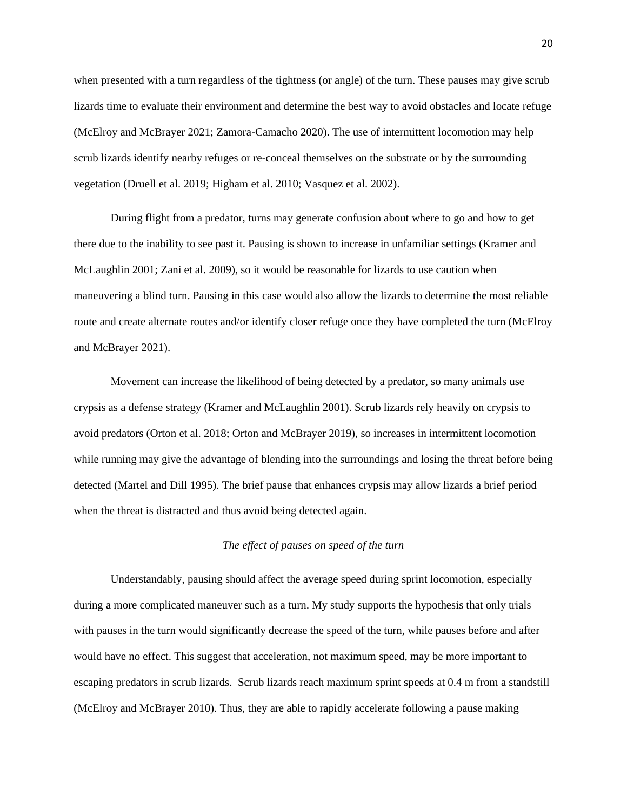when presented with a turn regardless of the tightness (or angle) of the turn. These pauses may give scrub lizards time to evaluate their environment and determine the best way to avoid obstacles and locate refuge (McElroy and McBrayer 2021; Zamora-Camacho 2020). The use of intermittent locomotion may help scrub lizards identify nearby refuges or re-conceal themselves on the substrate or by the surrounding vegetation (Druell et al. 2019; Higham et al. 2010; Vasquez et al. 2002).

During flight from a predator, turns may generate confusion about where to go and how to get there due to the inability to see past it. Pausing is shown to increase in unfamiliar settings (Kramer and McLaughlin 2001; Zani et al. 2009), so it would be reasonable for lizards to use caution when maneuvering a blind turn. Pausing in this case would also allow the lizards to determine the most reliable route and create alternate routes and/or identify closer refuge once they have completed the turn (McElroy and McBrayer 2021).

Movement can increase the likelihood of being detected by a predator, so many animals use crypsis as a defense strategy (Kramer and McLaughlin 2001). Scrub lizards rely heavily on crypsis to avoid predators (Orton et al. 2018; Orton and McBrayer 2019), so increases in intermittent locomotion while running may give the advantage of blending into the surroundings and losing the threat before being detected (Martel and Dill 1995). The brief pause that enhances crypsis may allow lizards a brief period when the threat is distracted and thus avoid being detected again.

#### *The effect of pauses on speed of the turn*

Understandably, pausing should affect the average speed during sprint locomotion, especially during a more complicated maneuver such as a turn. My study supports the hypothesis that only trials with pauses in the turn would significantly decrease the speed of the turn, while pauses before and after would have no effect. This suggest that acceleration, not maximum speed, may be more important to escaping predators in scrub lizards. Scrub lizards reach maximum sprint speeds at 0.4 m from a standstill (McElroy and McBrayer 2010). Thus, they are able to rapidly accelerate following a pause making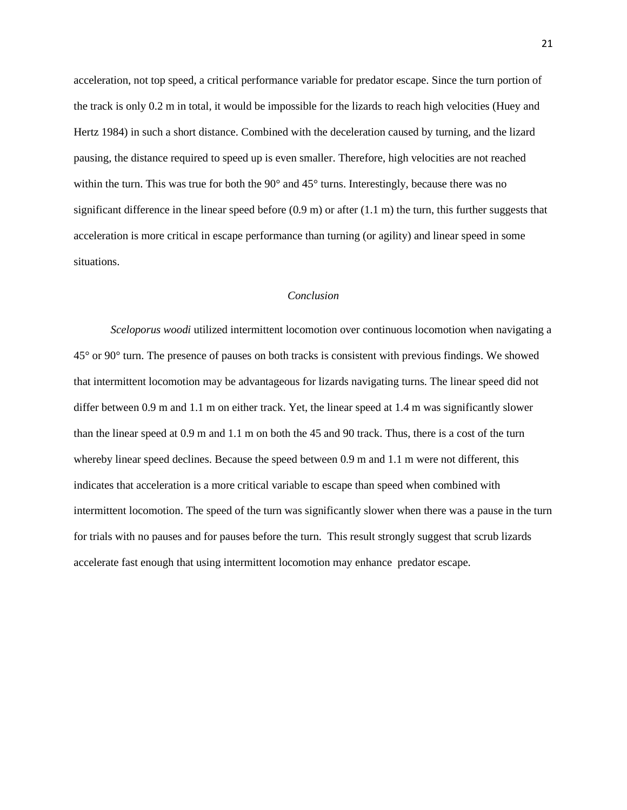acceleration, not top speed, a critical performance variable for predator escape. Since the turn portion of the track is only 0.2 m in total, it would be impossible for the lizards to reach high velocities (Huey and Hertz 1984) in such a short distance. Combined with the deceleration caused by turning, and the lizard pausing, the distance required to speed up is even smaller. Therefore, high velocities are not reached within the turn. This was true for both the 90 $^{\circ}$  and 45 $^{\circ}$  turns. Interestingly, because there was no significant difference in the linear speed before  $(0.9 \text{ m})$  or after  $(1.1 \text{ m})$  the turn, this further suggests that acceleration is more critical in escape performance than turning (or agility) and linear speed in some situations.

#### *Conclusion*

*Sceloporus woodi* utilized intermittent locomotion over continuous locomotion when navigating a 45° or 90° turn. The presence of pauses on both tracks is consistent with previous findings. We showed that intermittent locomotion may be advantageous for lizards navigating turns. The linear speed did not differ between 0.9 m and 1.1 m on either track. Yet, the linear speed at 1.4 m was significantly slower than the linear speed at 0.9 m and 1.1 m on both the 45 and 90 track. Thus, there is a cost of the turn whereby linear speed declines. Because the speed between 0.9 m and 1.1 m were not different, this indicates that acceleration is a more critical variable to escape than speed when combined with intermittent locomotion. The speed of the turn was significantly slower when there was a pause in the turn for trials with no pauses and for pauses before the turn. This result strongly suggest that scrub lizards accelerate fast enough that using intermittent locomotion may enhance predator escape.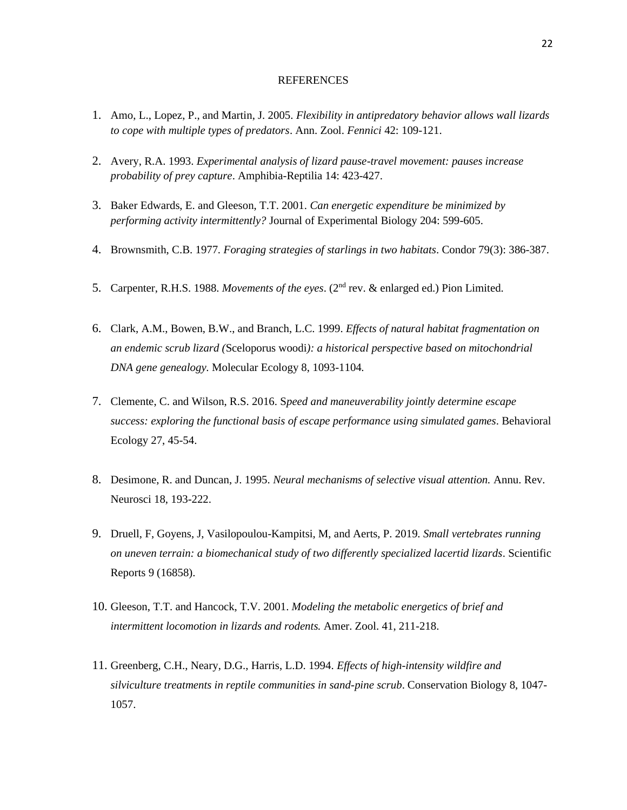#### **REFERENCES**

- 1. Amo, L., Lopez, P., and Martin, J. 2005. *Flexibility in antipredatory behavior allows wall lizards to cope with multiple types of predators*. Ann. Zool. *Fennici* 42: 109-121.
- 2. Avery, R.A. 1993. *Experimental analysis of lizard pause-travel movement: pauses increase probability of prey capture*. Amphibia-Reptilia 14: 423-427.
- 3. Baker Edwards, E. and Gleeson, T.T. 2001. *Can energetic expenditure be minimized by performing activity intermittently?* Journal of Experimental Biology 204: 599-605.
- 4. Brownsmith, C.B. 1977*. Foraging strategies of starlings in two habitats*. Condor 79(3): 386-387.
- 5. Carpenter, R.H.S. 1988. *Movements of the eyes*. (2nd rev. & enlarged ed.) Pion Limited.
- 6. Clark, A.M., Bowen, B.W., and Branch, L.C. 1999. *Effects of natural habitat fragmentation on an endemic scrub lizard (*Sceloporus woodi*): a historical perspective based on mitochondrial DNA gene genealogy.* Molecular Ecology 8, 1093-1104.
- 7. Clemente, C. and Wilson, R.S. 2016. S*peed and maneuverability jointly determine escape success: exploring the functional basis of escape performance using simulated games*. Behavioral Ecology 27, 45-54.
- 8. Desimone, R. and Duncan, J. 1995. *Neural mechanisms of selective visual attention.* Annu. Rev. Neurosci 18, 193-222.
- 9. Druell, F, Goyens, J, Vasilopoulou-Kampitsi, M, and Aerts, P. 2019. *Small vertebrates running on uneven terrain: a biomechanical study of two differently specialized lacertid lizards*. Scientific Reports 9 (16858).
- 10. Gleeson, T.T. and Hancock, T.V. 2001. *Modeling the metabolic energetics of brief and intermittent locomotion in lizards and rodents.* Amer. Zool. 41, 211-218.
- 11. Greenberg, C.H., Neary, D.G., Harris, L.D. 1994. *Effects of high-intensity wildfire and silviculture treatments in reptile communities in sand-pine scrub*. Conservation Biology 8, 1047- 1057.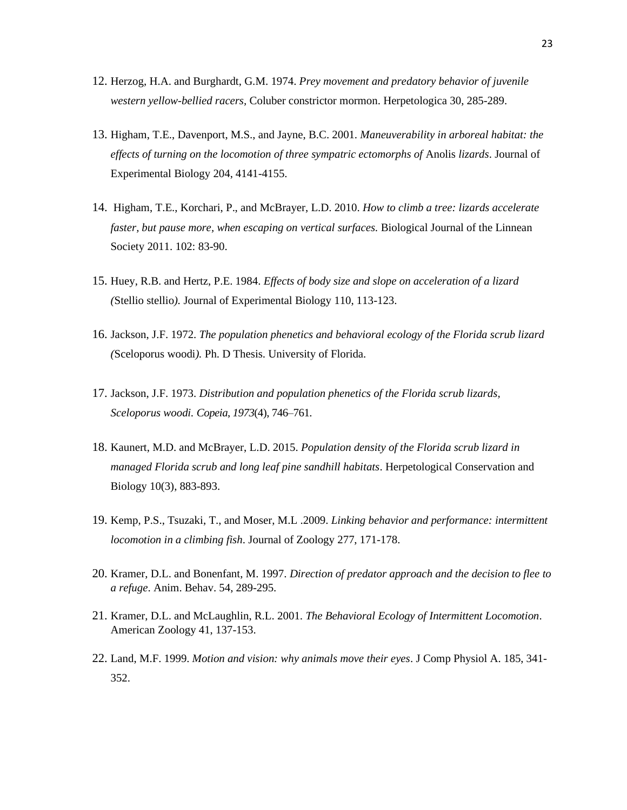- 12. Herzog, H.A. and Burghardt, G.M. 1974. *Prey movement and predatory behavior of juvenile western yellow-bellied racers,* Coluber constrictor mormon. Herpetologica 30, 285-289.
- 13. Higham, T.E., Davenport, M.S., and Jayne, B.C. 2001. *Maneuverability in arboreal habitat: the effects of turning on the locomotion of three sympatric ectomorphs of* Anolis *lizards*. Journal of Experimental Biology 204, 4141-4155.
- 14. Higham, T.E., Korchari, P., and McBrayer, L.D. 2010. *How to climb a tree: lizards accelerate faster, but pause more, when escaping on vertical surfaces.* Biological Journal of the Linnean Society 2011. 102: 83-90.
- 15. Huey, R.B. and Hertz, P.E. 1984. *Effects of body size and slope on acceleration of a lizard (*Stellio stellio*).* Journal of Experimental Biology 110, 113-123.
- 16. Jackson, J.F. 1972. *The population phenetics and behavioral ecology of the Florida scrub lizard (*Sceloporus woodi*).* Ph. D Thesis. University of Florida.
- 17. Jackson, J.F. 1973. *Distribution and population phenetics of the Florida scrub lizards, Sceloporus woodi. Copeia*, *1973*(4), 746–761.
- 18. Kaunert, M.D. and McBrayer, L.D. 2015. *Population density of the Florida scrub lizard in managed Florida scrub and long leaf pine sandhill habitats*. Herpetological Conservation and Biology 10(3), 883-893.
- 19. Kemp, P.S., Tsuzaki, T., and Moser, M.L .2009. *Linking behavior and performance: intermittent locomotion in a climbing fish*. Journal of Zoology 277, 171-178.
- 20. Kramer, D.L. and Bonenfant, M. 1997. *Direction of predator approach and the decision to flee to a refuge*. Anim. Behav. 54, 289-295.
- 21. Kramer, D.L. and McLaughlin, R.L. 2001. *The Behavioral Ecology of Intermittent Locomotion*. American Zoology 41, 137-153.
- 22. Land, M.F. 1999. *Motion and vision: why animals move their eyes*. J Comp Physiol A. 185, 341- 352.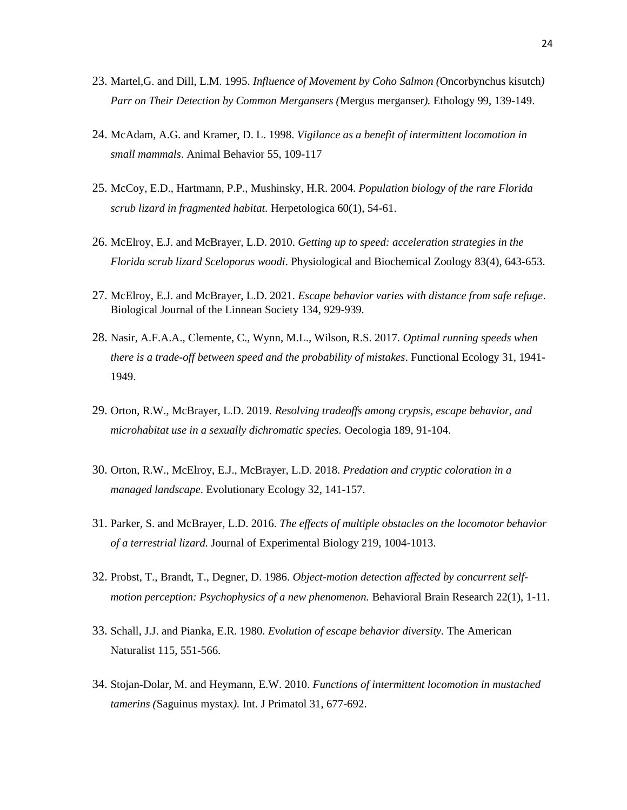- 23. Martel,G. and Dill, L.M. 1995. *Influence of Movement by Coho Salmon (*Oncorbynchus kisutch*) Parr on Their Detection by Common Mergansers (*Mergus merganser*).* Ethology 99, 139-149.
- 24. McAdam, A.G. and Kramer, D. L. 1998. *Vigilance as a benefit of intermittent locomotion in small mammals*. Animal Behavior 55, 109-117
- 25. McCoy, E.D., Hartmann, P.P., Mushinsky, H.R. 2004. *Population biology of the rare Florida scrub lizard in fragmented habitat.* Herpetologica 60(1), 54-61.
- 26. McElroy, E.J. and McBrayer, L.D. 2010. *Getting up to speed: acceleration strategies in the Florida scrub lizard Sceloporus woodi*. Physiological and Biochemical Zoology 83(4), 643-653.
- 27. McElroy, E.J. and McBrayer, L.D. 2021. *Escape behavior varies with distance from safe refuge*. Biological Journal of the Linnean Society 134, 929-939.
- 28. Nasir, A.F.A.A., Clemente, C., Wynn, M.L., Wilson, R.S. 2017. *Optimal running speeds when there is a trade-off between speed and the probability of mistakes*. Functional Ecology 31, 1941- 1949.
- 29. Orton, R.W., McBrayer, L.D. 2019. *Resolving tradeoffs among crypsis, escape behavior, and microhabitat use in a sexually dichromatic species.* Oecologia 189, 91-104.
- 30. Orton, R.W., McElroy, E.J., McBrayer, L.D. 2018. *Predation and cryptic coloration in a managed landscape*. Evolutionary Ecology 32, 141-157.
- 31. Parker, S. and McBrayer, L.D. 2016. *The effects of multiple obstacles on the locomotor behavior of a terrestrial lizard.* Journal of Experimental Biology 219, 1004-1013.
- 32. Probst, T., Brandt, T., Degner, D. 1986. *Object-motion detection affected by concurrent selfmotion perception: Psychophysics of a new phenomenon.* Behavioral Brain Research 22(1), 1-11.
- 33. Schall, J.J. and Pianka, E.R. 1980. *Evolution of escape behavior diversity.* The American Naturalist 115, 551-566.
- 34. Stojan-Dolar, M. and Heymann, E.W. 2010. *Functions of intermittent locomotion in mustached tamerins (*Saguinus mystax*).* Int. J Primatol 31, 677-692.